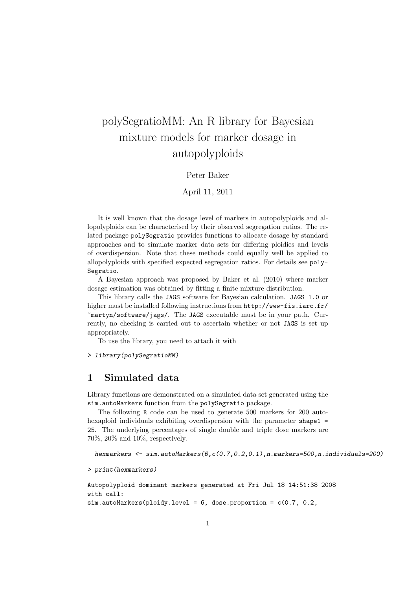# polySegratioMM: An R library for Bayesian mixture models for marker dosage in autopolyploids

#### Peter Baker

#### April 11, 2011

It is well known that the dosage level of markers in autopolyploids and allopolyploids can be characterised by their observed segregation ratios. The related package polySegratio provides functions to allocate dosage by standard approaches and to simulate marker data sets for differing ploidies and levels of overdispersion. Note that these methods could equally well be applied to allopolyploids with specified expected segregation ratios. For details see poly-Segratio.

A Bayesian approach was proposed by Baker et al. (2010) where marker dosage estimation was obtained by fitting a finite mixture distribution.

This library calls the JAGS software for Bayesian calculation. JAGS 1.0 or higher must be installed following instructions from  $http://www-fis.iarc.fr/$ ~martyn/software/jags/. The JAGS executable must be in your path. Currently, no checking is carried out to ascertain whether or not JAGS is set up appropriately.

To use the library, you need to attach it with

> library(polySegratioMM)

### 1 Simulated data

Library functions are demonstrated on a simulated data set generated using the sim.autoMarkers function from the polySegratio package.

The following R code can be used to generate 500 markers for 200 autohexaploid individuals exhibiting overdispersion with the parameter shape1 = 25. The underlying percentages of single double and triple dose markers are 70%, 20% and 10%, respectively.

```
hexmarkers <- sim.autoMarkers(6,c(0.7,0.2,0.1),n.markers=500,n.individuals=200)
```

```
> print(hexmarkers)
```

```
Autopolyploid dominant markers generated at Fri Jul 18 14:51:38 2008
with call:
sim.autoMarkers(ploidy.level = 6, dose.proportion = c(0.7, 0.2, 1)
```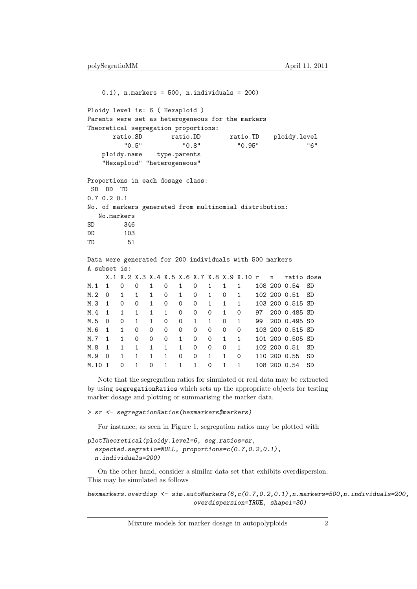$0.1$ , n.markers = 500, n.individuals = 200) Ploidy level is: 6 ( Hexaploid ) Parents were set as heterogeneous for the markers Theoretical segregation proportions: ratio.SD ratio.DD ratio.TD ploidy.level "0.5" "0.8" "0.95" "6" ploidy.name type.parents "Hexaploid" "heterogeneous" Proportions in each dosage class: SD DD TD 0.7 0.2 0.1 No. of markers generated from multinomial distribution: No.markers SD 346 DD 103 TD 51 Data were generated for 200 individuals with 500 markers A subset is: X.1 X.2 X.3 X.4 X.5 X.6 X.7 X.8 X.9 X.10 r n ratio dose M.1 1 0 0 1 0 1 0 1 1 1 108 200 0.54 SD M.2 0 1 1 1 0 1 0 1 0 1 102 200 0.51 SD M.3 1 0 0 1 0 0 0 1 1 1 103 200 0.515 SD M.4 1 1 1 1 1 0 0 0 1 0 97 200 0.485 SD M.5 0 0 1 1 0 0 1 1 0 1 99 200 0.495 SD M.6 1 1 0 0 0 0 0 0 0 0 103 200 0.515 SD M.7 1 1 0 0 0 1 0 0 1 1 101 200 0.505 SD M.8 1 1 1 1 1 1 0 0 0 1 102 200 0.51 SD M.9 0 1 1 1 1 0 0 1 1 0 110 200 0.55 SD M.10 1 0 1 0 1 1 1 0 1 1 108 200 0.54 SD

Note that the segregation ratios for simulated or real data may be extracted by using segregationRatios which sets up the appropriate objects for testing marker dosage and plotting or summarising the marker data.

#### > sr <- segregationRatios(hexmarkers\$markers)

For instance, as seen in Figure 1, segregation ratios may be plotted with

```
plotTheoretical(ploidy.level=6, seg.ratios=sr,
  expected.segratio=NULL, proportions=c(0.7,0.2,0.1),
  n.individuals=200)
```
On the other hand, consider a similar data set that exhibits overdispersion. This may be simulated as follows

hexmarkers.overdisp <- sim.autoMarkers(6,c(0.7,0.2,0.1),n.markers=500,n.individuals=200, overdispersion=TRUE, shape1=30)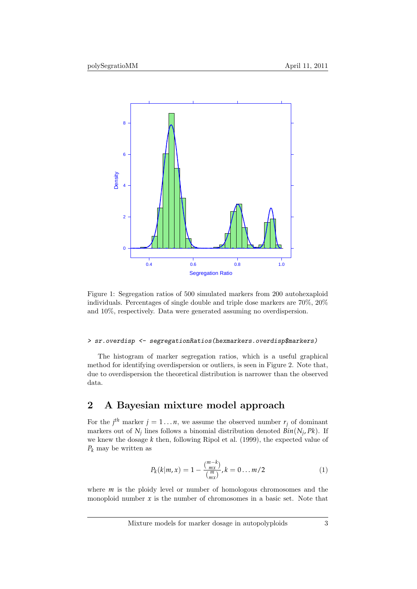

Figure 1: Segregation ratios of 500 simulated markers from 200 autohexaploid individuals. Percentages of single double and triple dose markers are 70%, 20% and 10%, respectively. Data were generated assuming no overdispersion.

#### > sr.overdisp <- segregationRatios(hexmarkers.overdisp\$markers)

The histogram of marker segregation ratios, which is a useful graphical method for identifying overdispersion or outliers, is seen in Figure 2. Note that, due to overdispersion the theoretical distribution is narrower than the observed data.

# 2 A Bayesian mixture model approach

For the *j*<sup>th</sup> marker  $j = 1...n$ , we assume the observed number  $r_j$  of dominant markers out of  $N_j$  lines follows a binomial distribution denoted  $Bin(N_j, PK)$ . If we knew the dosage *k* then, following Ripol et al. (1999), the expected value of *P<sup>k</sup>* may be written as

$$
P_k(k|m,x) = 1 - \frac{\binom{m-k}{mx}}{\binom{m}{mx}}, k = 0 \dots m/2
$$
 (1)

where *m* is the ploidy level or number of homologous chromosomes and the monoploid number  $x$  is the number of chromosomes in a basic set. Note that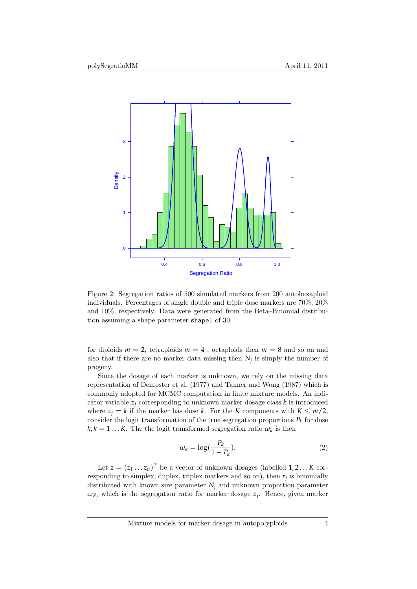

Figure 2: Segregation ratios of 500 simulated markers from 200 autohexaploid individuals. Percentages of single double and triple dose markers are 70%, 20% and 10%, respectively. Data were generated from the Beta–Binomial distribution assuming a shape parameter shape1 of 30.

for diploids  $m = 2$ , tetraploids  $m = 4$ , octaploids then  $m = 8$  and so on and also that if there are no marker data missing then *N<sup>j</sup>* is simply the number of progeny.

Since the dosage of each marker is unknown, we rely on the missing data representation of Dempster et al. (1977) and Tanner and Wong (1987) which is commonly adopted for MCMC computation in finite mixture models. An indicator variable  $z_i$  corresponding to unknown marker dosage class  $k$  is introduced where  $z_i = k$  if the marker has dose *k*. For the *K* components with  $K \leq m/2$ , consider the logit transformation of the true segregation proportions  $P_k$  for dose  $k, k = 1...K$ . The the logit transformed segregation ratio  $\omega_k$  is then

$$
\omega_k = \log(\frac{P_k}{1 - P_k}).\tag{2}
$$

Let  $z = (z_1 \dots z_n)^T$  be a vector of unknown dosages (labelled  $1, 2, \dots K$  corresponding to simplex, duplex, triplex markers and so on), then *r<sup>j</sup>* is binomially distributed with known size parameter  $N_i$  and unknown proportion parameter  $\omega_{Z_j}$  which is the segregation ratio for marker dosage  $z_j$ . Hence, given marker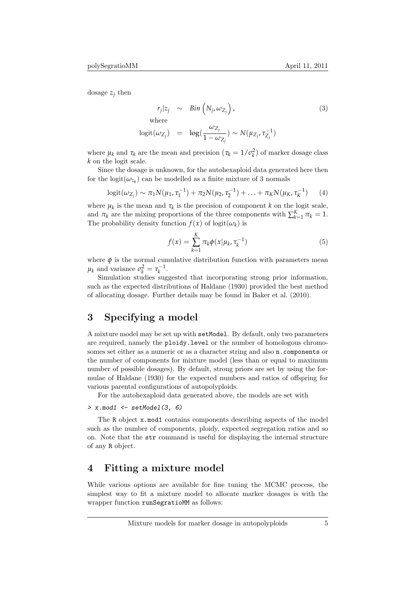dosage  $z_j$  then

$$
r_j|z_j \sim Bin\left(N_j, \omega_{Z_j}\right),
$$
  
where  

$$
logit(\omega_{Z_j}) = log(\frac{\omega_{Z_j}}{1 - \omega_{Z_j}}) \sim N(\mu_{Z_j}, \tau_{Z_j}^{-1})
$$
 (3)

where  $\mu_k$  and  $\tau_k$  are the mean and precision  $(\tau_k = 1/\sigma_k^2)$  of marker dosage class *k* on the logit scale.

Since the dosage is unknown, for the autohexaploid data generated here then for the logit $(\omega_{z_k})$  can be modelled as a finite mixture of 3 normals

$$
logit(\omega_{Z_j}) \sim \pi_1 N(\mu_1, \tau_1^{-1}) + \pi_2 N(\mu_2, \tau_2^{-1}) + \ldots + \pi_K N(\mu_K, \tau_K^{-1}) \qquad (4)
$$

where  $\mu_k$  is the mean and  $\tau_k$  is the precision of component *k* on the logit scale, and  $\pi_k$  are the mixing proportions of the three components with  $\sum_{k=1}^{K} \pi_k = 1$ . The probability density function  $f(x)$  of logit $(\omega_k)$  is

$$
f(x) = \sum_{k=1}^{K} \pi_k \phi(x | \mu_k, \tau_k^{-1})
$$
\n(5)

where  $\phi$  is the normal cumulative distribution function with parameters mean  $\mu_k$  and variance  $\sigma_k^2 = \tau_k^{-1}$ .

Simulation studies suggested that incorporating strong prior information, such as the expected distributions of Haldane (1930) provided the best method of allocating dosage. Further details may be found in Baker et al. (2010).

# 3 Specifying a model

A mixture model may be set up with setModel. By default, only two parameters are required, namely the ploidy.level or the number of homologous chromosomes set either as a numeric or as a character string and also n.components or the number of components for mixture model (less than or equal to maximum number of possible dosages). By default, strong priors are set by using the formulae of Haldane (1930) for the expected numbers and ratios of offspring for various parental configurations of autopolyploids.

For the autohexaploid data generated above, the models are set with

#### $> x.mod1 \leftarrow setModel(3, 6)$

The R object x.mod1 contains components describing aspects of the model such as the number of components, ploidy, expected segregation ratios and so on. Note that the str command is useful for displaying the internal structure of any R object.

## 4 Fitting a mixture model

While various options are available for fine tuning the MCMC process, the simplest way to fit a mixture model to allocate marker dosages is with the wrapper function runSegratioMM as follows: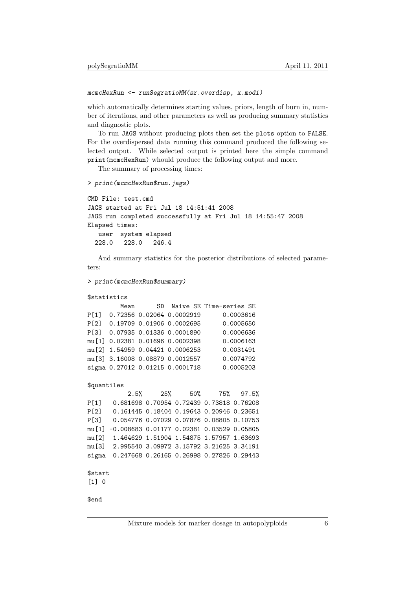#### mcmcHexRun <- runSegratioMM(sr.overdisp, x.mod1)

which automatically determines starting values, priors, length of burn in, number of iterations, and other parameters as well as producing summary statistics and diagnostic plots.

To run JAGS without producing plots then set the plots option to FALSE. For the overdispersed data running this command produced the following selected output. While selected output is printed here the simple command print(mcmcHexRun) whould produce the following output and more.

The summary of processing times:

```
> print(mcmcHexRun$run.jags)
```

```
CMD File: test.cmd
JAGS started at Fri Jul 18 14:51:41 2008
JAGS run completed successfully at Fri Jul 18 14:55:47 2008
Elapsed times:
  user system elapsed
  228.0 228.0 246.4
```
And summary statistics for the posterior distributions of selected parameters:

```
> print(mcmcHexRun$summary)
```

```
$statistics
```

```
Mean SD Naive SE Time-series SE
P[1] 0.72356 0.02064 0.0002919 0.0003616
P[2] 0.19709 0.01906 0.0002695 0.0005650
P[3] 0.07935 0.01336 0.0001890 0.0006636
mu[1] 0.02381 0.01696 0.0002398 0.0006163
mu[2] 1.54959 0.04421 0.0006253 0.0031491
mu[3] 3.16008 0.08879 0.0012557 0.0074792
sigma 0.27012 0.01215 0.0001718 0.0005203
```

```
$quantiles
```
2.5% 25% 50% 75% 97.5% P[1] 0.681698 0.70954 0.72439 0.73818 0.76208 P[2] 0.161445 0.18404 0.19643 0.20946 0.23651 P[3] 0.054776 0.07029 0.07876 0.08805 0.10753 mu[1] -0.008683 0.01177 0.02381 0.03529 0.05805 mu[2] 1.464629 1.51904 1.54875 1.57957 1.63693 mu[3] 2.995540 3.09972 3.15792 3.21625 3.34191 sigma 0.247668 0.26165 0.26998 0.27826 0.29443 \$start

```
[1] 0
```
\$end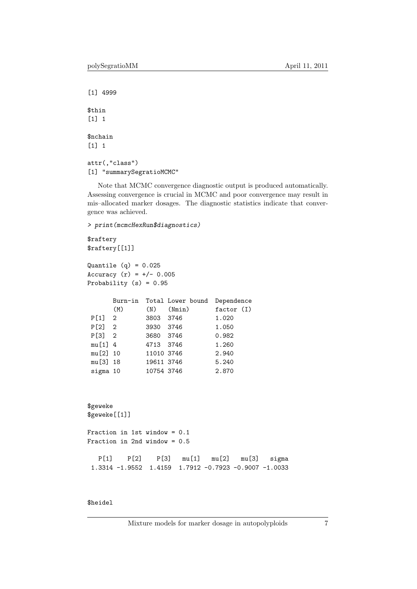[1] 4999 \$thin [1] 1 \$nchain [1] 1 attr(,"class") [1] "summarySegratioMCMC"

Note that MCMC convergence diagnostic output is produced automatically. Assessing convergence is crucial in MCMC and poor convergence may result in mis–allocated marker dosages. The diagnostic statistics indicate that convergence was achieved.

> print(mcmcHexRun\$diagnostics)

\$raftery \$raftery[[1]]

Quantile  $(q) = 0.025$ Accuracy  $(r) = +/- 0.005$ Probability (s) = 0.95

|           |     |            | Burn-in Total Lower bound | Dependence |  |  |
|-----------|-----|------------|---------------------------|------------|--|--|
|           | (M) | (N)        | (Nmin)                    | factor(I)  |  |  |
| P[1] 2    |     | 3803 3746  |                           | 1.020      |  |  |
| P[2] 2    |     | 3930 3746  |                           | 1.050      |  |  |
| $P[3]$ 2  |     | 3680 3746  |                           | 0.982      |  |  |
| $mu[1]$ 4 |     | 4713 3746  |                           | 1.260      |  |  |
| mu[2] 10  |     | 11010 3746 |                           | 2.940      |  |  |
| mu[3] 18  |     | 19611 3746 |                           | 5.240      |  |  |
| sigma 10  |     | 10754 3746 |                           | 2.870      |  |  |

```
$geweke
$geweke[[1]]
```

```
Fraction in 1st window = 0.1
Fraction in 2nd window = 0.5
  P[1] P[2] P[3] mu[1] mu[2] mu[3] sigma
```

```
1.3314 -1.9552 1.4159 1.7912 -0.7923 -0.9007 -1.0033
```
### \$heidel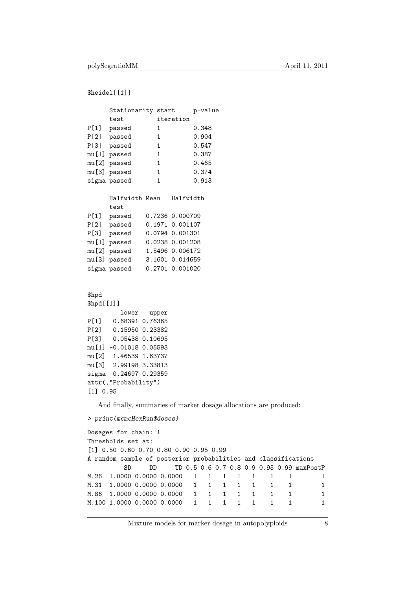```
$heidel[[1]]
```

|                                                                | Stationarity start                                                                                                                                                                                                                                                          |                 | p-value      |                              |              |              |   |   |                                           |
|----------------------------------------------------------------|-----------------------------------------------------------------------------------------------------------------------------------------------------------------------------------------------------------------------------------------------------------------------------|-----------------|--------------|------------------------------|--------------|--------------|---|---|-------------------------------------------|
|                                                                | test                                                                                                                                                                                                                                                                        | iteration       |              |                              |              |              |   |   |                                           |
|                                                                | P[1] passed                                                                                                                                                                                                                                                                 | $\mathbf{1}$    | 0.348        |                              |              |              |   |   |                                           |
|                                                                | P[2] passed                                                                                                                                                                                                                                                                 | $\mathbf{1}$    | 0.904        |                              |              |              |   |   |                                           |
|                                                                | P[3] passed                                                                                                                                                                                                                                                                 | $\mathbf{1}$    | 0.547        |                              |              |              |   |   |                                           |
|                                                                | mu[1] passed                                                                                                                                                                                                                                                                | $\mathbf{1}$    | 0.387        |                              |              |              |   |   |                                           |
|                                                                | mu[2] passed                                                                                                                                                                                                                                                                | $\mathbf{1}$    | 0.465        |                              |              |              |   |   |                                           |
|                                                                | mu[3] passed                                                                                                                                                                                                                                                                | $\mathbf{1}$    | 0.374        |                              |              |              |   |   |                                           |
|                                                                | sigma passed                                                                                                                                                                                                                                                                | $\mathbf{1}$    | 0.913        |                              |              |              |   |   |                                           |
|                                                                | Halfwidth Mean<br>test                                                                                                                                                                                                                                                      | Halfwidth       |              |                              |              |              |   |   |                                           |
|                                                                | P[1] passed                                                                                                                                                                                                                                                                 | 0.7236 0.000709 |              |                              |              |              |   |   |                                           |
|                                                                | P[2] passed                                                                                                                                                                                                                                                                 | 0.1971 0.001107 |              |                              |              |              |   |   |                                           |
|                                                                | P[3] passed                                                                                                                                                                                                                                                                 | 0.0794 0.001301 |              |                              |              |              |   |   |                                           |
|                                                                | mu[1] passed                                                                                                                                                                                                                                                                | 0.0238 0.001208 |              |                              |              |              |   |   |                                           |
|                                                                | mu[2] passed                                                                                                                                                                                                                                                                | 1.5496 0.006172 |              |                              |              |              |   |   |                                           |
|                                                                | mu[3] passed                                                                                                                                                                                                                                                                | 3.1601 0.014659 |              |                              |              |              |   |   |                                           |
|                                                                | sigma passed                                                                                                                                                                                                                                                                | 0.2701 0.001020 |              |                              |              |              |   |   |                                           |
|                                                                |                                                                                                                                                                                                                                                                             |                 |              |                              |              |              |   |   |                                           |
| \$hpd<br>\$hpd[[1]]<br>P[1]<br>[1] 0.95                        | lower<br>0.68391 0.76365<br>P[2] 0.15950 0.23382<br>P[3] 0.05438 0.10695<br>mu[1] -0.01018 0.05593<br>mu[2] 1.46539 1.63737<br>mu[3] 2.99198 3.33813<br>sigma 0.24697 0.29359<br>attr(, "Probability")<br>And finally, summaries of marker dosage allocations are produced: | upper           |              |                              |              |              |   |   |                                           |
|                                                                | > print (mcmcHexRun\$doses)                                                                                                                                                                                                                                                 |                 |              |                              |              |              |   |   |                                           |
|                                                                |                                                                                                                                                                                                                                                                             |                 |              |                              |              |              |   |   |                                           |
|                                                                | Dosages for chain: 1<br>Thresholds set at:                                                                                                                                                                                                                                  |                 |              |                              |              |              |   |   |                                           |
|                                                                | $[1]$ 0.50 0.60 0.70 0.80 0.90 0.95 0.99                                                                                                                                                                                                                                    |                 |              |                              |              |              |   |   |                                           |
| A random sample of posterior probabilities and classifications |                                                                                                                                                                                                                                                                             |                 |              |                              |              |              |   |   |                                           |
|                                                                | <b>SD</b><br>DD                                                                                                                                                                                                                                                             |                 |              |                              |              |              |   |   | TD 0.5 0.6 0.7 0.8 0.9 0.95 0.99 maxPostP |
| M.26                                                           | 1.0000 0.0000 0.0000                                                                                                                                                                                                                                                        |                 | $\mathbf{1}$ | $\mathbf{1}$<br>$\mathbf{1}$ | 1            | 1            | 1 | 1 | 1                                         |
| M.31                                                           | 1.0000 0.0000 0.0000                                                                                                                                                                                                                                                        |                 | $\mathbf{1}$ | $\mathbf{1}$<br>$\mathbf{1}$ | $\mathbf{1}$ | 1            | 1 | 1 | 1                                         |
|                                                                | M.86 1.0000 0.0000 0.0000                                                                                                                                                                                                                                                   |                 | 1            | $\mathbf{1}$<br>$\mathbf{1}$ | $\mathbf{1}$ | $\mathbf{1}$ | 1 | 1 | $\mathbf{1}$                              |

Mixture models for marker dosage in autopolyploids  $\qquad \qquad 8$ 

M.100 1.0000 0.0000 0.0000 1 1 1 1 1 1 1 1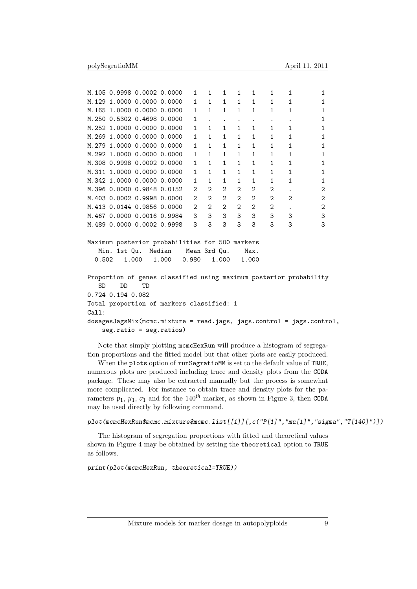|           |                   | M.105 0.9998 0.0002 0.0000                                         |       | $\mathbf{1}$                | $\mathbf{1}$   | $\mathbf{1}$   | $\mathbf{1}$ | $\mathbf{1}$   | $\mathbf{1}$         | $\mathbf{1}$ | 1            |
|-----------|-------------------|--------------------------------------------------------------------|-------|-----------------------------|----------------|----------------|--------------|----------------|----------------------|--------------|--------------|
|           |                   | M.129 1.0000 0.0000 0.0000                                         |       | $\mathbf{1}$                | $\mathbf{1}$   | $\mathbf{1}$   | $\mathbf{1}$ | $\mathbf{1}$   | $\mathbf{1}$         | $\mathbf{1}$ | 1            |
|           |                   | M.165 1.0000 0.0000 0.0000                                         |       | $\mathbf{1}$                | $\mathbf{1}$   | $\mathbf{1}$   | $\mathbf{1}$ | $\mathbf{1}$   | $\mathbf{1}$         | 1            | 1            |
|           |                   | M.250 0.5302 0.4698 0.0000                                         |       | $\mathbf{1}$                |                |                | $\cdot$      |                | $\ddot{\phantom{0}}$ | $\bullet$    | $\mathbf{1}$ |
|           |                   | M.252 1.0000 0.0000 0.0000                                         |       | $\mathbf{1}$                | $\mathbf{1}$   | $\mathbf{1}$   | $\mathbf{1}$ | $\mathbf{1}$   | $\mathbf{1}$         | 1            | $\mathbf{1}$ |
|           |                   | M.269 1.0000 0.0000 0.0000                                         |       | $\mathbf{1}$                | $\mathbf{1}$   | $\mathbf{1}$   | $\mathbf{1}$ | $\mathbf{1}$   | $\mathbf{1}$         | $\mathbf{1}$ | $\mathbf{1}$ |
|           |                   | M.279 1.0000 0.0000 0.0000                                         |       | $\mathbf{1}$                | $\mathbf{1}$   | $\mathbf{1}$   | $\mathbf{1}$ | $\mathbf{1}$   | 1                    | 1            | $\mathbf{1}$ |
|           |                   | M.292 1.0000 0.0000 0.0000                                         |       | $\mathbf{1}$                | $\mathbf{1}$   | $\mathbf{1}$   | $\mathbf{1}$ | $\mathbf{1}$   | $\mathbf{1}$         | $\mathbf{1}$ | $\mathbf{1}$ |
|           |                   | M.308 0.9998 0.0002 0.0000                                         |       | $\mathbf{1}$                | $\mathbf{1}$   | $\mathbf{1}$   | $\mathbf{1}$ | $\mathbf{1}$   | 1                    | $\mathbf{1}$ | 1            |
|           |                   | M.311 1.0000 0.0000 0.0000                                         |       | $\mathbf{1}$                | $\mathbf{1}$   | $\mathbf{1}$   | $\mathbf{1}$ | $\mathbf{1}$   | $\mathbf{1}$         | 1            | 1            |
|           |                   | M.342 1.0000 0.0000 0.0000                                         |       | $\mathbf{1}$                | $\mathbf{1}$   | $\mathbf{1}$   | $\mathbf{1}$ | $\mathbf{1}$   | $\mathbf{1}$         | 1            | 1            |
|           |                   | M.396 0.0000 0.9848 0.0152                                         |       | $\mathcal{D}_{\mathcal{L}}$ | 2              | $\overline{2}$ | 2            | $\overline{2}$ | 2                    |              | 2            |
|           |                   | M.403 0.0002 0.9998 0.0000                                         |       | $\overline{2}$              | $\overline{2}$ | $\overline{2}$ | 2            | $\overline{2}$ | $\mathbf{2}$         | 2            | $\mathbf{2}$ |
|           |                   | M.413 0.0144 0.9856 0.0000                                         |       | $\mathfrak{D}$              | $\overline{2}$ | $\overline{2}$ | 2            | $\overline{2}$ | 2                    |              | 2            |
|           |                   | M.467 0.0000 0.0016 0.9984                                         |       | 3                           | 3              | 3              | 3            | 3              | 3                    | 3            | 3            |
|           |                   | M.489 0.0000 0.0002 0.9998                                         |       | 3                           | 3              | 3              | 3            | 3              | 3                    | 3            | 3            |
|           |                   | Maximum posterior probabilities for 500 markers                    |       |                             |                |                |              |                |                      |              |              |
|           |                   | Min. 1st Qu. Median                                                |       | Mean 3rd Qu.                |                |                |              | Max.           |                      |              |              |
|           | 0.502             | 1.000                                                              | 1.000 | 0.980                       |                | 1.000          |              | 1.000          |                      |              |              |
|           |                   | Proportion of genes classified using maximum posterior probability |       |                             |                |                |              |                |                      |              |              |
| <b>SD</b> | DD                | TD                                                                 |       |                             |                |                |              |                |                      |              |              |
|           | 0.724 0.194 0.082 |                                                                    |       |                             |                |                |              |                |                      |              |              |
|           |                   | Total proportion of markers classified: 1                          |       |                             |                |                |              |                |                      |              |              |

Call: dosagesJagsMix(mcmc.mixture = read.jags, jags.control = jags.control,

seg.ratio = seg.ratios)

Note that simply plotting mcmcHexRun will produce a histogram of segregation proportions and the fitted model but that other plots are easily produced.

When the plots option of runSegratioMM is set to the default value of TRUE, numerous plots are produced including trace and density plots from the CODA package. These may also be extracted manually but the process is somewhat more complicated. For instance to obtain trace and density plots for the parameters  $p_1$ ,  $\mu_1$ ,  $\sigma_1$  and for the 140<sup>th</sup> marker, as shown in Figure 3, then CODA may be used directly by following command.

plot(mcmcHexRun\$mcmc.mixture\$mcmc.list[[1]][,c("P[1]","mu[1]","sigma","T[140]")])

The histogram of segregation proportions with fitted and theoretical values shown in Figure 4 may be obtained by setting the theoretical option to TRUE as follows.

print(plot(mcmcHexRun, theoretical=TRUE))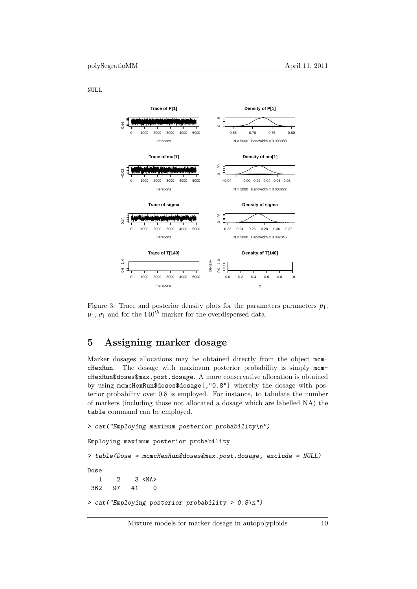NULL



Figure 3: Trace and posterior density plots for the parameters parameters  $p_1$ ,  $\mu_1$ ,  $\sigma_1$  and for the 140<sup>th</sup> marker for the overdispersed data.

# 5 Assigning marker dosage

Marker dosages allocations may be obtained directly from the object mcmcHexRun. The dosage with maximum posterior probability is simply mcmcHexRun\$doses\$max.post.dosage. A more conservative allocation is obtained by using mcmcHexRun\$doses\$dosage[,"0.8"] whereby the dosage with posterior probability over 0.8 is employed. For instance, to tabulate the number of markers (including those not allocated a dosage which are labelled NA) the table command can be employed.

```
> cat("Employing maximum posterior probability\n")
Employing maximum posterior probability
> table(Dose = mcmcHexRun$doses$max.post.dosage, exclude = NULL)
Dose
   1 2 3 <sub>NA</sub></sub>
 362 97 41 0
> cat("Employing posterior probability > 0.8\n")
```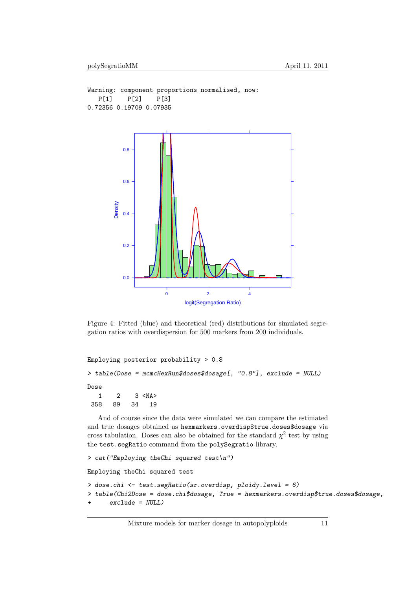```
Warning: component proportions normalised, now:
  P[1] P[2] P[3]
0.72356 0.19709 0.07935
```


Figure 4: Fitted (blue) and theoretical (red) distributions for simulated segregation ratios with overdispersion for 500 markers from 200 individuals.

```
Employing posterior probability > 0.8
> table(Dose = mcmcHexRun$doses$dosage[, "0.8"], exclude = NULL)
Dose
  1 2 3 <NA>
358 89 34 19
```
And of course since the data were simulated we can compare the estimated and true dosages obtained as hexmarkers.overdisp\$true.doses\$dosage via cross tabulation. Doses can also be obtained for the standard  $\chi^2$  test by using the test.segRatio command from the polySegratio library.

```
> cat("Employing theChi squared test\n")
Employing theChi squared test
> dose.chi <- test.segRatio(sr.overdisp, ploidy.level = 6)
> table(Chi2Dose = dose.chi$dosage, True = hexmarkers.overdisp$true.doses$dosage,
      exclude = NULL
```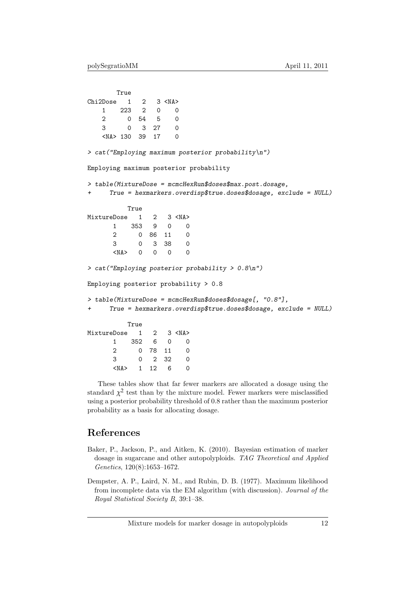```
True
Chi2Dose 1 2 3 <NA>
   1 223 2 0 0
   2 0 54 5 0
   3 0 3 27 0
   <NA> 130 39 17 0
> cat("Employing maximum posterior probability\n")
Employing maximum posterior probability
> table(MixtureDose = mcmcHexRun$doses$max.post.dosage,
+ True = hexmarkers.overdisp$true.doses$dosage, exclude = NULL)
         True
MixtureDose 1 2 3 <NA>
      1 353 9 0 0
      2 0 86 11 0
      3 0 3 38 0
      \langle NAS \rangle 0 0 0 0
> cat("Employing posterior probability > 0.8\n")
Employing posterior probability > 0.8
> table(MixtureDose = mcmcHexRun$doses$dosage[, "0.8"],
+ True = hexmarkers.overdisp$true.doses$dosage, exclude = NULL)
         True
MixtureDose 1 2 3 <NA>
      1 352 6 0 0
      2 0 78 11 0
      3 0 2 32 0
      <NA> 1 12 6 0
```
These tables show that far fewer markers are allocated a dosage using the standard  $\chi^2$  test than by the mixture model. Fewer markers were misclassified using a posterior probability threshold of 0.8 rather than the maximum posterior probability as a basis for allocating dosage.

# References

- Baker, P., Jackson, P., and Aitken, K. (2010). Bayesian estimation of marker dosage in sugarcane and other autopolyploids. TAG Theoretical and Applied Genetics, 120(8):1653–1672.
- Dempster, A. P., Laird, N. M., and Rubin, D. B. (1977). Maximum likelihood from incomplete data via the EM algorithm (with discussion). Journal of the Royal Statistical Society B, 39:1–38.